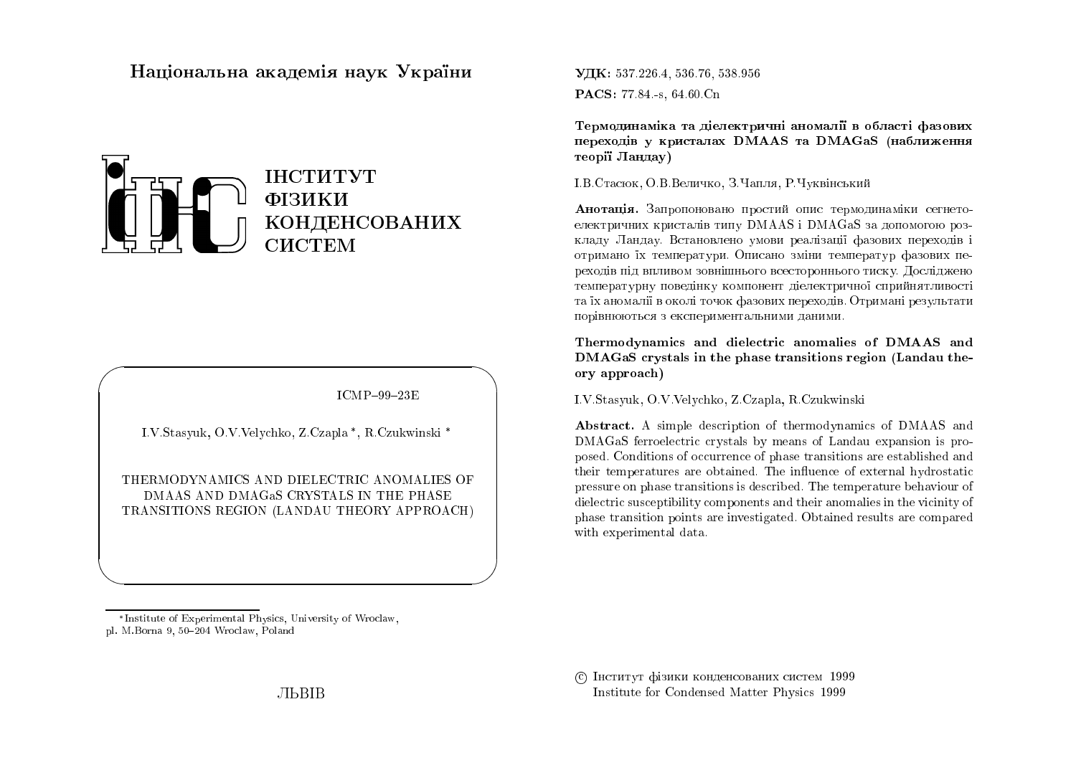## Національна академія наук України



 $ICMP-99-23E$ 

I.V.Stasyuk, O.V.Velychko, Z.Czapla\*, R.Czukwinski\*

THERMODYNAMICS AND DIELECTRIC ANOMALIES OF DMAAS AND DMAGAS CRYSTALS IN THE PHASE TRANSITIONS REGION (LANDAU THEORY APPROACH) УДК: 537.226.4, 536.76, 538.956 PACS: 77.84 - s, 64.60 Cn

Термодинаміка та діелектричні аномалії в області фазових переходів у кристалах DMAAS та DMAGaS (наближення теорії Ландау)

І.В.Стасюк, О.В.Величко, З.Чапля, Р.Чуквінський

Анотація. Запропоновано простий опис термодинаміки сегнетоелектричних кристалів типу DMAAS і DMAGaS за допомогою розкладу Ландау. Встановлено умови реалізації фазових переходів і отримано їх температури. Описано зміни температур фазових переходів під впливом зовнішнього всестороннього тиску. Досліджено температурну поведінку компонент діелектричної сприйнятливості та їх аномалії в околі точок фазових переходів. Отримані результати порівнюються з експериментальними даними.

Thermodynamics and dielectric anomalies of DMAAS and DMAGaS crystals in the phase transitions region (Landau theory approach)

I.V.Stasyuk, O.V.Velychko, Z.Czapla, R.Czukwinski

Abstract. A simple description of thermodynamics of DMAAS and DMAGaS ferroelectric crystals by means of Landau expansion is proposed. Conditions of occurrence of phase transitions are established and their temperatures are obtained. The influence of external hydrostatic pressure on phase transitions is described. The temperature behaviour of dielectric susceptibility components and their anomalies in the vicinity of phase transition points are investigated. Obtained results are compared with experimental data.

<sup>\*</sup>Institute of Experimental Physics, University of Wroclaw, pl. M.Borna 9, 50-204 Wroclaw, Poland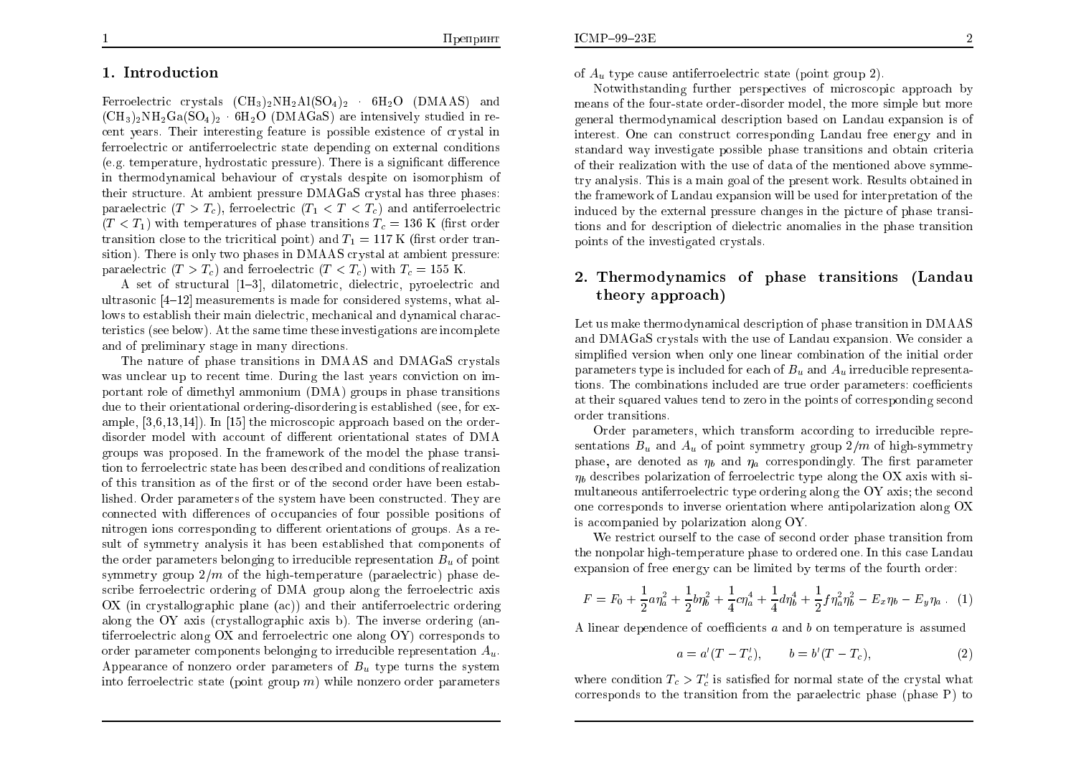### 1. Introdu
tion

Ferroelectric crystals  $(CH_3)_2NH_2Al(SO_4)_2$  6H<sub>2</sub>O (DMAAS) and  $(\text{CH}_3)_2\text{NH}_2\text{Ga}(\text{SO}_4)_2$   $\cdot$   $6\text{H}_2\text{O}$  (DMAGaS) are intensively studied in recent years. Their interesting feature is possible existence of crystal in ferroelectric or antiferroelectric state depending on external conditions (e.g.  $\it temperature, \it hydrostatic \, pressure)$ ). There is a significant difference in thermodynamical behaviour of crystals despite on isomorphism of<br>their structure. At embient pressure DMACeS exystal has three phases: their structure. At ambient pressure DMAGaS crystal has three phases: paraelectric ( $T > T_c$ ), ferroelectric ( $T_1 < T < T_c$ ) and antiferroelectric  $(T < T_1)$  with temperatures of phase transitions  $T_c = 136$  K (first order transition close to the tricritical point) and  $T_1 = 117$  K (first order tran-<br>rition). There is relate a phase in DMA AS constal at antitive presence sition). There is only two phases in DMAAS crystal at ambient pressure: paraelectric  $(T > T_c)$  and ferroelectric  $(T < T_c)$  with  $T_c = 155$  K.

A set of structural  $[1-3]$ , dilatometric, dielectric, pyroelectric and ultrasonic  $[4–12]$  measurements is made for considered systems, what al- $_{\rm{loss}}$  to establish their main dielectric, mechanical and dynamical characteristi
s (see below). At the same time these investigations are in
omplete and of preliminary stage in man y dire
tions.

The nature of <sup>p</sup>hase transitions in DMAAS and DMAGaS rystals was unclear up to recent time. During the last years conviction on important role of dimethyl ammonium (DMA) groups in phase transitions<br>due to their exientational ardering disardering is established (ass far ay due to their orientational ordering-disordering is established (see, for example,  $[3,6,13,14]$ ). In  $[15]$  the microscopic approach based on the orderdisorder model with account of different orientational states of DMA groups was proposed. In the framework of the model the phase transition to ferroelectric state has been described and conditions of realization of this transition as of the first or of the second order have been established. Order parameters of the system have been constructed. They are<br>connected. it differences of accumulation of four possible positions of connected with differences of occupancies of four possible positions of nitrogen ions corresponding to different orientations of groups. As a result of symmetry analysis it has been established that omponents of the order parameters belonging to irreducible representation  $B_u$  of point symmetry group  $2/m$  of the high-temperature (paraelectric) phase de-<br>saribe formalizative ordering of DMA group along the formalizative avia scribe ferroelectric ordering of DMA group along the ferroelectric axis<br>
and the strip of the strip of the strip of the strip of the strip of the strip of the strip of the strip of t OX (in crystallographic plane (ac)) and their antiferroelectric ordering along the OY axis (crystallographic axis b). The inverse ordering (antiferroelectric along OX and ferroelectric one along OY) corresponds to order parameter components belonging to irreducible representation  $A_u$ . Appearance of nonzero order parameters of  $B_u$  type turns the system into ferroelectric state (point group  $m)$  while nonzero order parameters

of  $A_u$  type cause antiferroelectric state (point group 2).

Notwithstanding further perspectives of microscopic approach by means of the four-state order-disorder model, the more simple but more general thermodynami
al des
ription based on Landau expansion is of interest. One an onstru
t orresponding Landau free energy and in standard way investigate possible phase transitions and obtain criteria of their realization with the use of data of the mentioned abo ve symmetry analysis. This is a main goa<sup>l</sup> of the present work. Results obtained in the framework of Landau expansion will be used for interpretation of the induced by the external pressure changes in the picture of phase transi- tions and for des
ription of diele
tri anomalies in the <sup>p</sup>hase transition points of the investigated crystals.

# 2. Thermodynami
s of phase transitions (Landautheory approa
h)

Let us make thermodynami
al des
ription of <sup>p</sup>hase transition in DMAAS and DMAGaS rystals with the use of Landau expansion. We onsider asimplified version when only one linear combination of the initial order parameters type is included for each of  $B_u$  and  $A_u$  irreducible representations. The combinations included are true order parameters: coefficients at their squared values tend to zero in the points of corresponding second order transitions.

Order parameters, which transform according to irreducible repre-<br>sations B, and A, of point summatur, we'll also of high summature sentations  $B_u$  and  $A_u$  of point symmetry group  $2/m$  of high-symmetry phase, are denoted as  $\eta_b$  and  $\eta_a$  correspondingly. The first parameter  $\eta_b$  describes polarization of ferroelectric type along the OX axis with simultaneous antiferroelectric type ordering along the OY axis; the second  $\alpha$  one orresponds to inverse orientation where antipolarization along OXis accompanied by polarization along OY.

We restrict ourself to the case of second order phase transition from the nonpolar high-temperature <sup>p</sup>hase to ordered one. In this ase Landau expansion of free energy an be limited by terms of the fourth order:

$$
F = F_0 + \frac{1}{2} a \eta_a^2 + \frac{1}{2} b \eta_b^2 + \frac{1}{4} c \eta_a^4 + \frac{1}{4} d \eta_b^4 + \frac{1}{2} f \eta_a^2 \eta_b^2 - E_x \eta_b - E_y \eta_a \tag{1}
$$

A linear dependence of coefficients  $a$  and  $b$  on temperature is assumed

$$
a = a'(T - T'_c), \qquad b = b'(T - T_c), \tag{2}
$$

where condition  $T_c > T_c'$  is satisfied for normal state of the crystal what corresponds to the transition from the paraelectric phase (phase P) to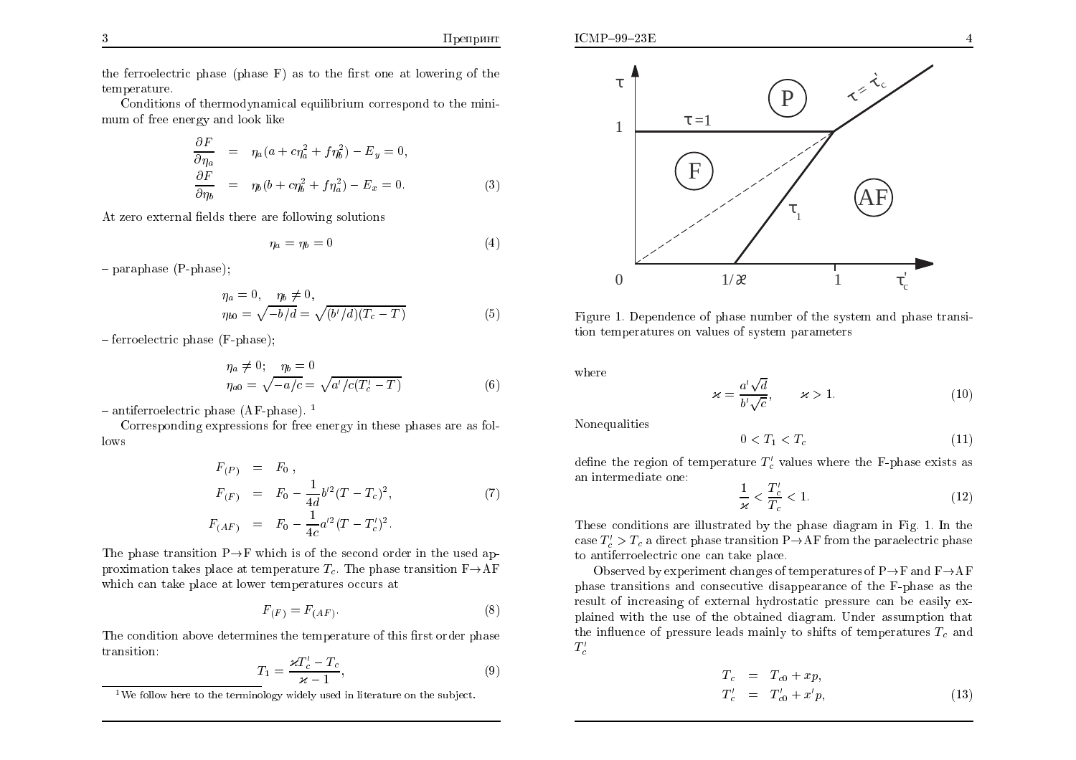the ferroelectric phase (phase  $F$ ) as to the first one at lowering of the temperature.

Conditions of thermodynamical equilibrium correspond to the minimum of free energy and look like

$$
\frac{\partial F}{\partial \eta_a} = \eta_a (a + c\eta_a^2 + f\eta_b^2) - E_y = 0,
$$
  
\n
$$
\frac{\partial F}{\partial \eta_b} = \eta_b (b + c\eta_b^2 + f\eta_a^2) - E_x = 0.
$$
\n(3)

At zero external fields there are following solutions

$$
\eta_a = \eta_b = 0 \tag{4}
$$

Препринт

 $-$  paraphase (P-phase);

$$
\eta_a = 0, \quad \eta_b \neq 0,\eta_{b0} = \sqrt{-b/d} = \sqrt{(b'/d)(T_c - T)}
$$
\n(5)

 $-$  ferroelectric phase (F-phase):

$$
\eta_a \neq 0; \quad \eta_b = 0\eta_{a0} = \sqrt{-a/c} = \sqrt{a'/c(T'_c - T)}
$$
\n(6)

 $-$  antiferroelectric phase (AF-phase).<sup>1</sup>

Corresponding expressions for free energy in these phases are as fol- $_{\text{lows}}$ 

$$
F_{(P)} = F_0,
$$
  
\n
$$
F_{(F)} = F_0 - \frac{1}{4d}b'^2(T - T_c)^2,
$$
\n
$$
F_{(AF)} = F_0 - \frac{1}{4c}a'^2(T - T_c')^2.
$$
\n(7)

The phase transition  $P \rightarrow F$  which is of the second order in the used approximation takes place at temperature  $T_c$ . The phase transition  $F \rightarrow AF$ which can take place at lower temperatures occurs at

$$
F_{(F)} = F_{(AF)}.\tag{8}
$$

The condition above determines the temperature of this first order phase transition:

$$
T_1 = \frac{\varkappa T_c' - T_c}{\varkappa - 1},\tag{9}
$$



Figure 1. Dependence of phase number of the system and phase transition temperatures on values of system parameters

where

$$
\varkappa = \frac{a'\sqrt{d}}{b'\sqrt{c}}, \qquad \varkappa > 1. \tag{10}
$$

Nonequalities

$$
0 < T_1 < T_c \tag{11}
$$

define the region of temperature  $T'_s$  values where the F-phase exists as an intermediate one:

$$
\frac{1}{\varkappa} < \frac{T_c^{\prime}}{T_c} < 1. \tag{12}
$$

These conditions are illustrated by the phase diagram in Fig. 1. In the case  $T_c' > T_c$  a direct phase transition P $\rightarrow$ AF from the paraelectric phase to antiferroelectric one can take place.

Observed by experiment changes of temperatures of  $P \rightarrow F$  and  $F \rightarrow AF$ phase transitions and consecutive disappearance of the F-phase as the result of increasing of external hydrostatic pressure can be easily explained with the use of the obtained diagram. Under assumption that the influence of pressure leads mainly to shifts of temperatures  $T_c$  and  $T_c'$ 

$$
T_c = T_{c0} + xp,
$$
  
\n
$$
T'_c = T'_{c0} + x'p,
$$
\n(13)

<sup>&</sup>lt;sup>1</sup>We follow here to the terminology widely used in literature on the subject.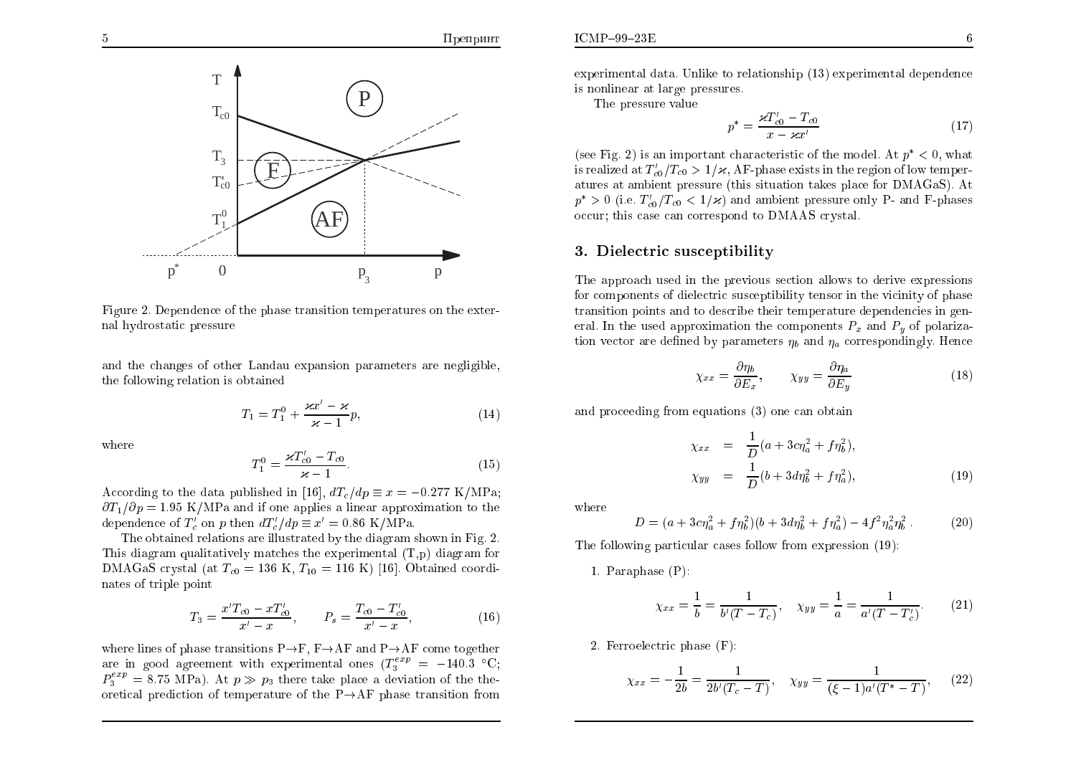

Figure 2. Dependence of the phase transition temperatures on the external hydrostatic pressure

and the changes of other Landau expansion parameters are negligible, the following relation is obtained

$$
T_1 = T_1^0 + \frac{\varkappa x' - \varkappa}{\varkappa - 1} p,\tag{14}
$$

where

$$
T_1^0 = \frac{\varkappa T_{c0}' - T_{c0}}{\varkappa - 1}.
$$
 (15)

According to the data published in [16],  $dT_c/dp \equiv x = -0.277 \text{ K/MPa}$ ;  $\partial T_1/\partial p = 1.95$  K/MPa and if one applies a linear approximation to the dependence of  $T_c'$  on p then  $dT_c'/dp \equiv x' = 0.86 \text{ K/MPa}$ .

The obtained relations are illustrated by the diagram shown in Fig. 2. This diagram qualitatively matches the experimental  $(T,p)$  diagram for DMAGaS crystal (at  $T_{c0} = 136$  K,  $T_{10} = 116$  K) [16]. Obtained coordinates of triple point

$$
T_3 = \frac{x'T_{c0} - xT_{c0}'}{x'-x}, \qquad P_s = \frac{T_{c0} - T_{c0}'}{x'-x}, \tag{16}
$$

where lines of phase transitions  $P \rightarrow F$ ,  $F \rightarrow AF$  and  $P \rightarrow AF$  come together are in good agreement with experimental ones  $(T_3^{exp} = -140.3 \text{ °C})$  $P_3^{exp} = 8.75$  MPa). At  $p \gg p_3$  there take place a deviation of the theoretical prediction of temperature of the  $P \rightarrow AF$  phase transition from experimental data. Unlike to relationship (13) experimental dependence is nonlinear at large pressures.

The pressure value

$$
p^* = \frac{\varkappa T'_{c0} - T_{c0}}{x - \varkappa x'}
$$
 (17)

(see Fig. 2) is an important characteristic of the model. At  $p^* < 0$ , what is realized at  $T_{c0}/T_{c0} > 1/\varkappa$ , AF-phase exists in the region of low temperatures at ambient pressure (this situation takes place for DMAGaS). At  $p^* > 0$  (i.e.  $T_{c0}/T_{c0} < 1/\varkappa$ ) and ambient pressure only P- and F-phases occur: this case can correspond to DMAAS crystal.

#### 3. Dielectric susceptibility

The approach used in the previous section allows to derive expressions for components of dielectric susceptibility tensor in the vicinity of phase transition points and to describe their temperature dependencies in general. In the used approximation the components  $P_x$  and  $P_y$  of polarization vector are defined by parameters  $\eta_b$  and  $\eta_a$  correspondingly. Hence

$$
\chi_{xx} = \frac{\partial \eta_b}{\partial E_x}, \qquad \chi_{yy} = \frac{\partial \eta_a}{\partial E_y} \tag{18}
$$

and proceeding from equations (3) one can obtain

$$
\chi_{xx} = \frac{1}{D}(a + 3c\eta_a^2 + f\eta_b^2),
$$
  
\n
$$
\chi_{yy} = \frac{1}{D}(b + 3d\eta_b^2 + f\eta_a^2),
$$
\n(19)

where

$$
D = (a + 3c\eta_a^2 + f\eta_b^2)(b + 3d\eta_b^2 + f\eta_a^2) - 4f^2\eta_a^2\eta_b^2.
$$
 (20)

The following particular cases follow from expression (19):

1. Paraphase  $(P)$ :

$$
\chi_{xx} = \frac{1}{b} = \frac{1}{b'(T - T_c)}, \quad \chi_{yy} = \frac{1}{a} = \frac{1}{a'(T - T_c')}.
$$
 (21)

2. Ferroelectric phase  $(F)$ :

$$
\chi_{xx} = -\frac{1}{2b} = \frac{1}{2b'(T_c - T)}, \quad \chi_{yy} = \frac{1}{(\xi - 1)a'(T^* - T)}, \quad (22)
$$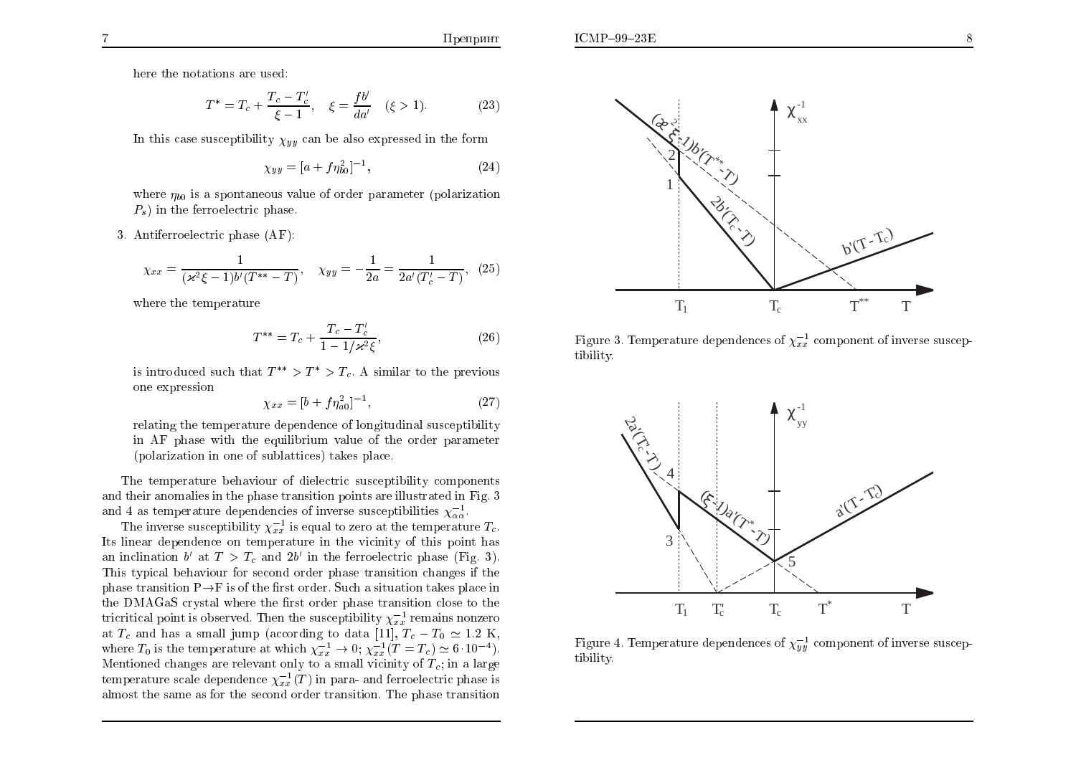here the notations are used:

$$
T^* = T_c + \frac{T_c - T'_c}{\xi - 1}, \quad \xi = \frac{fb'}{da'} \quad (\xi > 1).
$$
 (23)

In this case susceptibility  $\chi_{yy}$  can be also expressed in the form

$$
\chi_{yy} = [a + f\eta_{b0}^2]^{-1},\tag{24}
$$

where  $\eta_{b0}$  is a spontaneous value of order parameter (polarization  $P_s$ ) in the ferroelectric phase.

3. Antiferroelectric phase (AF):

$$
\chi_{xx} = \frac{1}{(\varkappa^2 \xi - 1)b'(T^{**} - T)}, \quad \chi_{yy} = -\frac{1}{2a} = \frac{1}{2a'(T_c' - T)}, \tag{25}
$$

where the temperature

$$
T^{**} = T_c + \frac{T_c - T_c'}{1 - 1/\varkappa^2 \xi},\tag{26}
$$

is introduced such that  $T^{**} > T^* > T_c$ . A similar to the previous one expression

$$
\chi_{xx} = [b + f\eta_{a0}^2]^{-1},\tag{27}
$$

relating the temperature dependence of longitudinal susceptibility in AF phase with the equilibrium value of the order parameter (polarization in one of sublattices) takes place.

The temperature behaviour of dielectric susceptibility components and their anomalies in the phase transition points are illustrated in Fig. 3 and 4 as temperature dependencies of inverse susceptibilities  $\chi_{\alpha\alpha}^{-1}$ .

The inverse susceptibility  $\chi_{xx}^{-1}$  is equal to zero at the temperature  $T_c$ . Its linear dependence on temperature in the vicinity of this point has an inclination b' at  $T > T_c$  and  $2b'$  in the ferroelectric phase (Fig. 3). This typical behaviour for second order phase transition changes if the phase transition  $P \rightarrow F$  is of the first order. Such a situation takes place in the DMAGaS crystal where the first order phase transition close to the tricritical point is observed. Then the susceptibility  $\chi_{xx}^{-1}$  remains nonzero at  $T_c$  and has a small jump (according to data [11],  $T_c - T_0 \simeq 1.2$  K, where  $T_0$  is the temperature at which  $\chi_{xx}^{-1} \to 0$ ;  $\chi_{xx}^{-1}(T = T_c) \simeq 6 \cdot 10^{-4}$ ). Mentioned changes are relevant only to a small vicinity of  $T_c$ ; in a large temperature scale dependence  $\chi_{xx}^{-1}(T)$  in para- and ferroelectric phase is almost the same as for the second order transition. The phase transition



Figure 3. Temperature dependences of  $\chi_{xx}^{-1}$  component of inverse susceptibility.



Figure 4. Temperature dependences of  $\chi_{yy}^{-1}$  component of inverse susceptibility.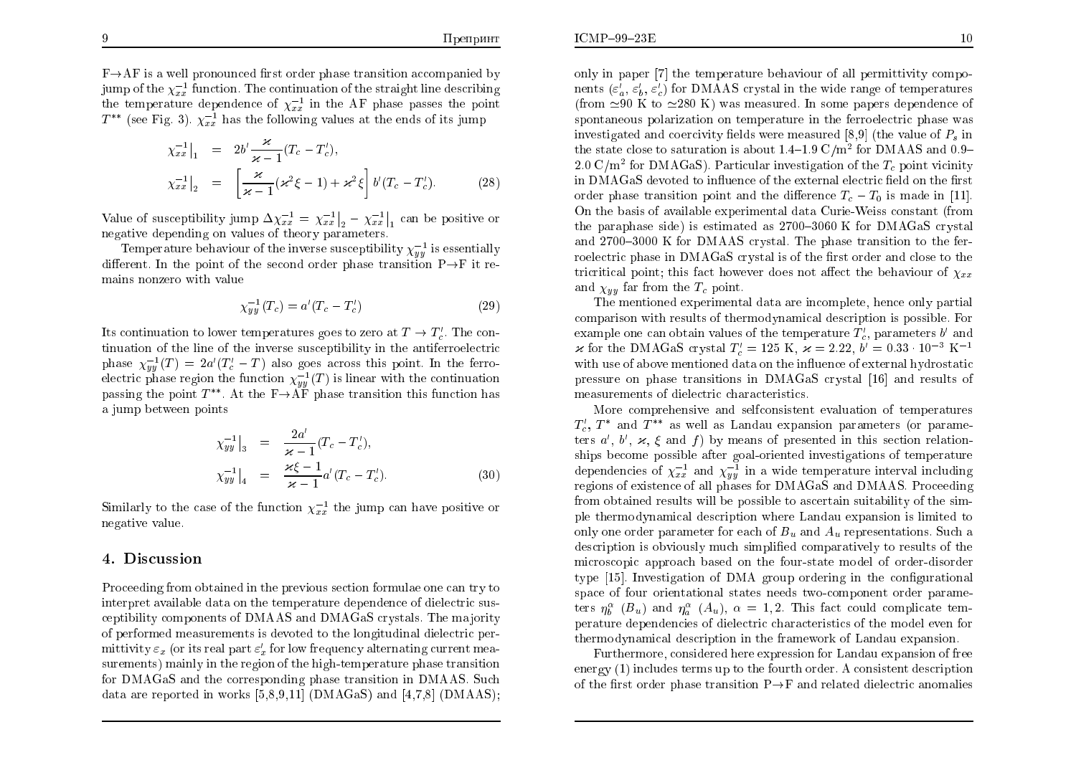$F \rightarrow AF$  is a well pronounced first order phase transition accompanied by jump of the  $\chi_{xx}^{-1}$  function. The continuation of the straight line describing the temperature dependence of  $\chi_{xx}^{-1}$  in the AF phase passes the point  $T^{**}$  (see Fig. 3).  $\chi_{xx}^{-1}$  has the following values at the ends of its jump

$$
\chi_{xx}^{-1}\Big|_{1} = 2b'\frac{\varkappa}{\varkappa - 1}(T_c - T'_c),
$$
\n
$$
\chi_{xx}^{-1}\Big|_{2} = \left[\frac{\varkappa}{\varkappa - 1}(\varkappa^2 \xi - 1) + \varkappa^2 \xi\right] b'(T_c - T'_c). \tag{28}
$$

Value of susceptibility jump  $\Delta \chi_{xx}^{-1} = \chi_{xx}^{-1} \vert_2 - \chi_{xx}^{-1} \vert_1$  can be positive or negative depending on values of theory parameters.

Temperature behaviour of the inverse susceptibility  $\chi_{uu}^{-1}$  is essentially different. In the point of the second order phase transition  $P \rightarrow F$  it remains nonzero with value

$$
\chi_{yy}^{-1}(T_c) = a'(T_c - T_c') \tag{29}
$$

Its continuation to lower temperatures goes to zero at  $T \to T'_c$ . The continuation of the line of the inverse susceptibility in the antiferroelectric phase  $\chi_{uu}^{-1}(T) = 2a'(T_c' - T)$  also goes across this point. In the ferroelectric phase region the function  $\chi_{uu}^{-1}(T)$  is linear with the continuation passing the point  $T^{**}$ . At the  $F \rightarrow \overline{AF}$  phase transition this function has a jump between points

$$
\chi_{yy}^{-1}|_{3} = \frac{2a'}{\varkappa - 1}(T_c - T_c'),
$$
  
\n
$$
\chi_{yy}^{-1}|_{4} = \frac{\varkappa \xi - 1}{\varkappa - 1} a'(T_c - T_c').
$$
\n(30)

Similarly to the case of the function  $\chi_{xx}^{-1}$  the jump can have positive or negative value.

#### 4. Discussion

Proceeding from obtained in the previous section formulae one can try to interpret available data on the temperature dependence of dielectric susceptibility components of DMAAS and DMAGaS crystals. The majority of performed measurements is devoted to the longitudinal dielectric permittivity  $\varepsilon_x$  (or its real part  $\varepsilon'_x$  for low frequency alternating current measurements) mainly in the region of the high-temperature phase transition for DMAGaS and the corresponding phase transition in DMAAS. Such data are reported in works  $[5,8,9,11]$  (DMAGaS) and  $[4,7,8]$  (DMAAS); only in paper [7] the temperature behaviour of all permittivity components  $(\varepsilon_n', \varepsilon_n', \varepsilon_n')$  for DMAAS crystal in the wide range of temperatures (from  $\approx 90$  K to  $\approx 280$  K) was measured. In some papers dependence of spontaneous polarization on temperature in the ferroelectric phase was investigated and coercivity fields were measured [8,9] (the value of  $P_s$  in the state close to saturation is about  $1.4-1.9 \text{ C/m}^2$  for DMAAS and 0.9-2.0  $C/m^2$  for DMAGaS). Particular investigation of the  $T_c$  point vicinity in DMAGaS devoted to influence of the external electric field on the first order phase transition point and the difference  $T_c - T_0$  is made in [11]. On the basis of available experimental data Curie-Weiss constant (from the paraphase side) is estimated as 2700–3060 K for DMAGaS crystal and 2700–3000 K for DMAAS crystal. The phase transition to the ferroelectric phase in DMAGaS crystal is of the first order and close to the tricritical point; this fact however does not affect the behaviour of  $\chi_{xx}$ and  $\chi_{yy}$  far from the  $T_c$  point.

The mentioned experimental data are incomplete, hence only partial comparison with results of thermodynamical description is possible. For example one can obtain values of the temperature  $T'$ , parameters b' and  $\varkappa$  for the DMAGaS crystal  $T_c' = 125$  K,  $\varkappa = 2.22$ ,  $b' = 0.33 \cdot 10^{-3}$  K<sup>-1</sup> with use of above mentioned data on the influence of external hydrostatic pressure on phase transitions in DMAGaS crystal [16] and results of measurements of dielectric characteristics.

More comprehensive and selfconsistent evaluation of temperatures  $T_c$ ,  $T^*$  and  $T^{**}$  as well as Landau expansion parameters (or parameters a', b',  $\varkappa$ ,  $\xi$  and f) by means of presented in this section relationships become possible after goal-oriented investigations of temperature dependencies of  $\chi_{xx}^{-1}$  and  $\chi_{yy}^{-1}$  in a wide temperature interval including regions of existence of all phases for DMAGaS and DMAAS. Proceeding from obtained results will be possible to ascertain suitability of the simple thermodynamical description where Landau expansion is limited to only one order parameter for each of  $B_u$  and  $A_u$  representations. Such a description is obviously much simplified comparatively to results of the microscopic approach based on the four-state model of order-disorder type [15]. Investigation of DMA group ordering in the configurational space of four orientational states needs two-component order parameters  $\eta_h^{\alpha}$  ( $B_u$ ) and  $\eta_a^{\alpha}$  ( $A_u$ ),  $\alpha = 1, 2$ . This fact could complicate temperature dependencies of dielectric characteristics of the model even for thermodynamical description in the framework of Landau expansion.

Furthermore, considered here expression for Landau expansion of free energy  $(1)$  includes terms up to the fourth order. A consistent description of the first order phase transition  $P \rightarrow F$  and related dielectric anomalies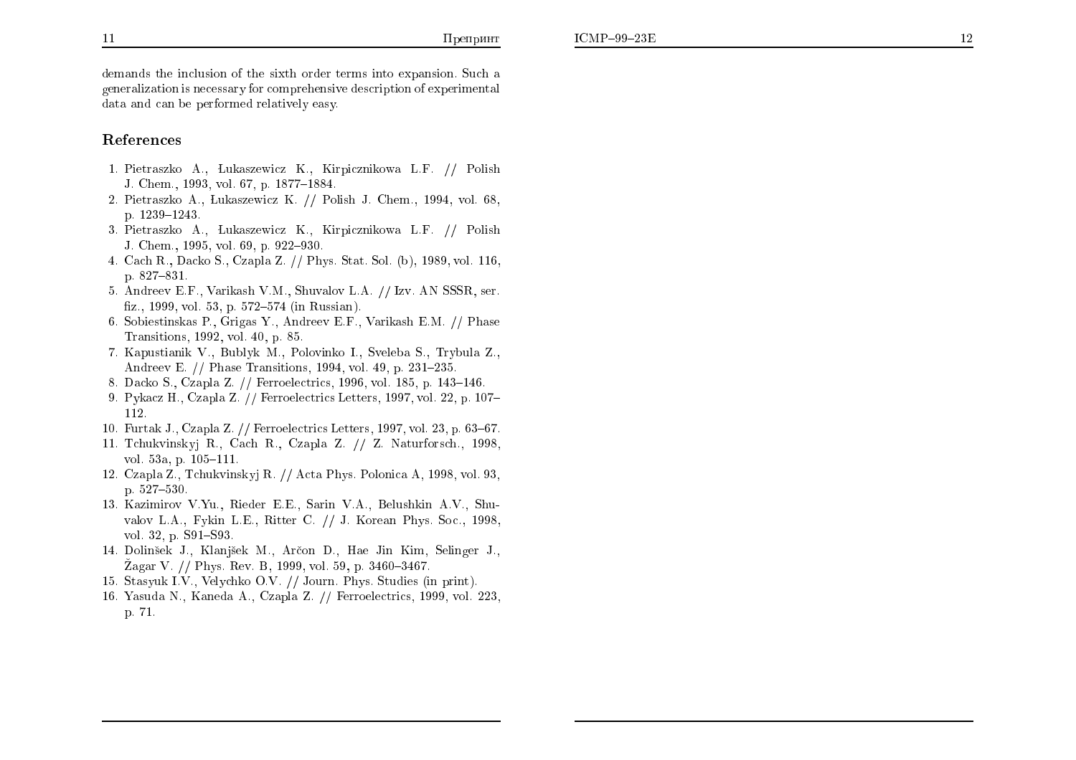demands the inclusion of the sixth order terms into expansion. Such a generalization is necessary for comprehensive description of experimental data and can be performed relatively easy.

#### References

- 1. Pietraszko A., Lukaszewicz K., Kirpicznikowa L.F. // Polish J. Chem., 1993, vol. 67, p. 1877-1884.
- 2. Pietraszko A., Lukaszewicz K. // Polish J. Chem., 1994, vol. 68, p. 1239-1243.
- 3. Pietraszko A., Lukaszewicz K., Kirpicznikowa L.F. // Polish J. Chem., 1995, vol. 69, p. 922-930.
- 4. Cach R., Dacko S., Czapla Z. // Phys. Stat. Sol. (b), 1989, vol. 116, p. 827-831.
- 5. Andreev E.F., Varikash V.M., Shuvalov L.A. // Izv. AN SSSR, ser. fiz., 1999, vol. 53, p. 572–574 (in Russian).
- 6. Sobiestinskas P., Grigas Y., Andreev E.F., Varikash E.M. // Phase Transitions, 1992, vol. 40, p. 85.
- 7. Kapustianik V., Bublyk M., Polovinko I., Syeleba S., Trybula Z., Andreev E. // Phase Transitions, 1994, vol. 49, p. 231-235.
- 8. Dacko S., Czapla Z. // Ferroelectrics, 1996, vol. 185, p. 143–146.
- 9. Pykacz H., Czapla Z. // Ferroelectrics Letters, 1997, vol. 22, p. 107– 112.
- 10. Furtak J., Czapla Z. // Ferroelectrics Letters, 1997, vol. 23, p. 63–67.
- 11. Tchukvinskyj R., Cach R., Czapla Z. // Z. Naturforsch., 1998, vol. 53a, p.  $105-111$ .
- 12. Czapla Z., Tchukvinskyj R. // Acta Phys. Polonica A, 1998, vol. 93, p.  $527 - 530$ .
- 13. Kazimirov V.Yu., Rieder E.E., Sarin V.A., Belushkin A.V., Shuvalov L.A., Fykin L.E., Ritter C. // J. Korean Phys. Soc., 1998, vol. 32, p. S91-S93.
- 14. Dolinšek J., Klanjšek M., Arčon D., Hae Jin Kim, Selinger J., Zagar V. // Phys. Rev. B, 1999, vol. 59, p. 3460–3467.
- 15. Stasyuk I.V., Velychko O.V. // Journ. Phys. Studies (in print)
- 16. Yasuda N., Kaneda A., Czapla Z. // Ferroelectrics, 1999, vol. 223, p. 71.